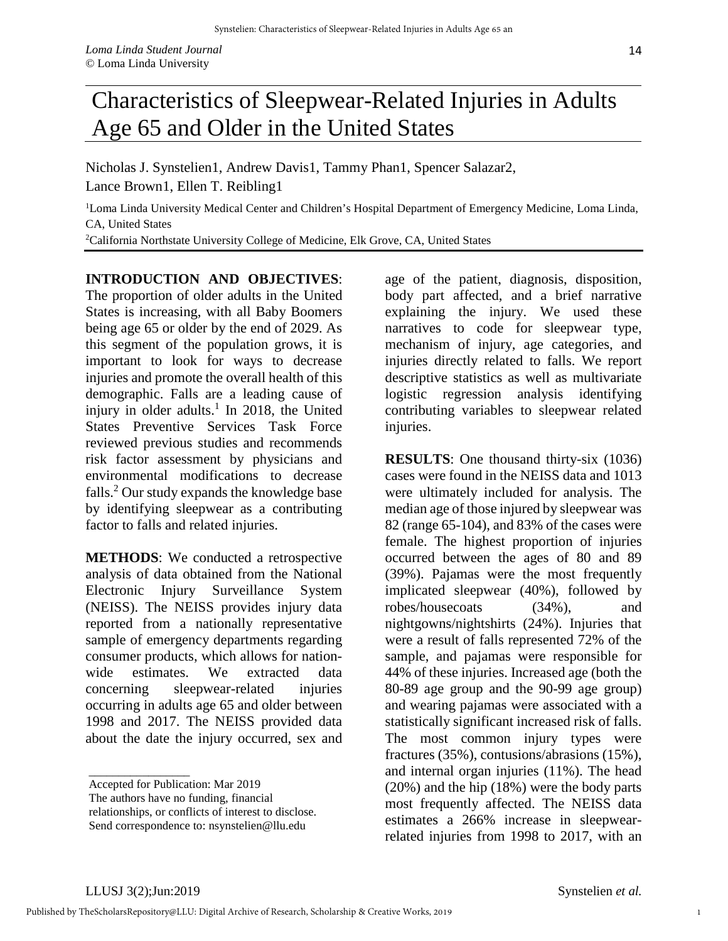## Characteristics of Sleepwear-Related Injuries in Adults Age 65 and Older in the United States

Nicholas J. Synstelien1, Andrew Davis1, Tammy Phan1, Spencer Salazar2, Lance Brown1, Ellen T. Reibling1

<sup>1</sup>Loma Linda University Medical Center and Children's Hospital Department of Emergency Medicine, Loma Linda, CA, United States

2 California Northstate University College of Medicine, Elk Grove, CA, United States

## **INTRODUCTION AND OBJECTIVES**:

The proportion of older adults in the United States is increasing, with all Baby Boomers being age 65 or older by the end of 2029. As this segment of the population grows, it is important to look for ways to decrease injuries and promote the overall health of this demographic. Falls are a leading cause of injury in older adults.<sup>1</sup> In 2018, the United States Preventive Services Task Force reviewed previous studies and recommends risk factor assessment by physicians and environmental modifications to decrease falls.<sup>2</sup> Our study expands the knowledge base by identifying sleepwear as a contributing factor to falls and related injuries.

**METHODS**: We conducted a retrospective analysis of data obtained from the National Electronic Injury Surveillance System (NEISS). The NEISS provides injury data reported from a nationally representative sample of emergency departments regarding consumer products, which allows for nationwide estimates. We extracted data concerning sleepwear-related injuries occurring in adults age 65 and older between 1998 and 2017. The NEISS provided data about the date the injury occurred, sex and age of the patient, diagnosis, disposition, body part affected, and a brief narrative explaining the injury. We used these narratives to code for sleepwear type, mechanism of injury, age categories, and injuries directly related to falls. We report descriptive statistics as well as multivariate logistic regression analysis identifying contributing variables to sleepwear related injuries.

**RESULTS**: One thousand thirty-six (1036) cases were found in the NEISS data and 1013 were ultimately included for analysis. The median age of those injured by sleepwear was 82 (range 65-104), and 83% of the cases were female. The highest proportion of injuries occurred between the ages of 80 and 89 (39%). Pajamas were the most frequently implicated sleepwear (40%), followed by robes/housecoats (34%), and nightgowns/nightshirts (24%). Injuries that were a result of falls represented 72% of the sample, and pajamas were responsible for 44% of these injuries. Increased age (both the 80-89 age group and the 90-99 age group) and wearing pajamas were associated with a statistically significant increased risk of falls. The most common injury types were fractures (35%), contusions/abrasions (15%), and internal organ injuries (11%). The head (20%) and the hip (18%) were the body parts most frequently affected. The NEISS data estimates a 266% increase in sleepwearrelated injuries from 1998 to 2017, with an

\_\_\_\_\_\_\_\_\_\_\_\_\_\_\_\_\_ Accepted for Publication: Mar 2019

The authors have no funding, financial

relationships, or conflicts of interest to disclose.

Send correspondence to: nsynstelien@llu.edu